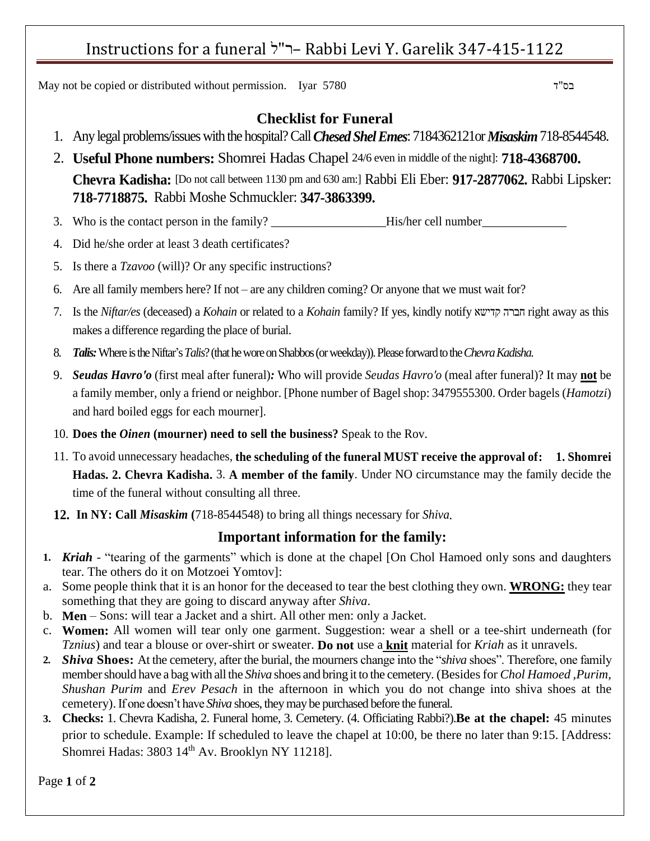## Instructions for a funeral ל"ר –Rabbi Levi Y. Garelik 347-415-1122

May not be copied or distributed without permission. Iyar 5780 ד"בס

### **Checklist for Funeral**

- 1. Any legal problems/issues with the hospital? Call *Chesed Shel Emes*: 7184362121or *Misaskim*718-8544548.
- 2. **Useful Phone numbers:** Shomrei Hadas Chapel 24/6 even in middle of the night]: **718-4368700. Chevra Kadisha:** [Do not call between 1130 pm and 630 am:] Rabbi Eli Eber: **917-2877062.** Rabbi Lipsker: **718-7718875.** Rabbi Moshe Schmuckler: **347-3863399.**
- 3. Who is the contact person in the family? \_\_\_\_\_\_\_\_\_\_\_\_\_\_\_\_\_\_\_His/her cell number\_\_\_\_\_\_\_\_\_\_\_\_\_\_
- 4. Did he/she order at least 3 death certificates?
- 5. Is there a *Tzavoo* (will)? Or any specific instructions?
- 6. Are all family members here? If not are any children coming? Or anyone that we must wait for?
- 7. Is the *Niftar/es* (deceased) a *Kohain* or related to a *Kohain* family? If yes, kindly notify קדישא חברה right away as this makes a difference regarding the place of burial.
- 8. *Talis:*Where istheNiftar's *Talis*?(that he wore on Shabbos (or weekday)).Please forward to the *Chevra Kadisha*.
- 9. *Seudas Havro'o* (first meal after funeral)*:* Who will provide *Seudas Havro'o* (meal after funeral)? It may **not** be a family member, only a friend or neighbor. [Phone number of Bagel shop: 3479555300. Order bagels (*Hamotzi*) and hard boiled eggs for each mourner].
- 10. **Does the** *Oinen* **(mourner) need to sell the business?** Speak to the Rov.
- 11. To avoid unnecessary headaches, **the scheduling of the funeral MUST receive the approval of: 1. Shomrei Hadas. 2. Chevra Kadisha.** 3. **A member of the family**. Under NO circumstance may the family decide the time of the funeral without consulting all three.
- **12. In NY: Call** *Misaskim* **(**718-8544548) to bring all things necessary for *Shiva.*

#### **Important information for the family:**

- **1.** *Kriah* "tearing of the garments" which is done at the chapel [On Chol Hamoed only sons and daughters tear. The others do it on Motzoei Yomtov]:
- a. Some people think that it is an honor for the deceased to tear the best clothing they own. **WRONG:** they tear something that they are going to discard anyway after *Shiva*.
- b. **Men** Sons: will tear a Jacket and a shirt. All other men: only a Jacket.
- c. **Women:** All women will tear only one garment. Suggestion: wear a shell or a tee-shirt underneath (for *Tznius*) and tear a blouse or over-shirt or sweater. **Do not** use a **knit** material for *Kriah* as it unravels.
- **2.** *Shiva* **Shoes:** At the cemetery, after the burial, the mourners change into the "*shiva* shoes". Therefore, one family member should have a bag with all the *Shiva* shoes and bring it to the cemetery. (Besides for *Chol Hamoed ,Purim, Shushan Purim* and *Erev Pesach* in the afternoon in which you do not change into shiva shoes at the cemetery). If one doesn't have *Shiva* shoes, they may be purchased before the funeral.
- **3. Checks:** 1. Chevra Kadisha, 2. Funeral home, 3. Cemetery. (4. Officiating Rabbi?).**Be at the chapel:** 45 minutes prior to schedule. Example: If scheduled to leave the chapel at 10:00, be there no later than 9:15. [Address: Shomrei Hadas: 3803 14<sup>th</sup> Av. Brooklyn NY 11218].

Page **1** of **2**